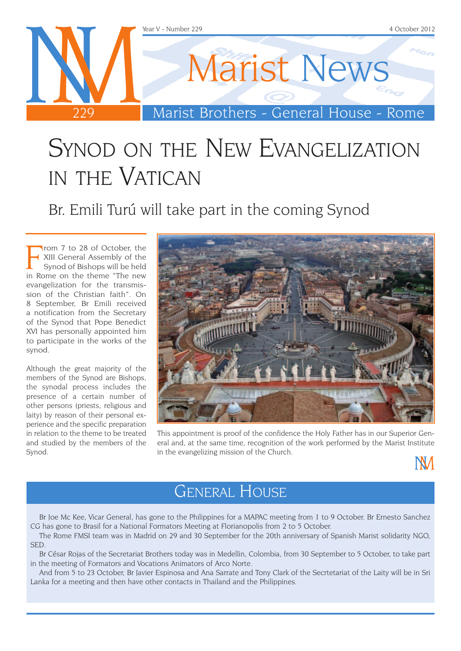

## Synod on the New Evangelization in the Vatican

Br. Emili Turú will take part in the coming Synod

From 7 to 28 of October, the<br>KIII General Assembly of the<br>Synod of Bishops will be held<br>in Rome on the theme "The new" rom 7 to 28 of October, the XIII General Assembly of the Synod of Bishops will be held evangelization for the transmission of the Christian faith". On 8 September, Br Emili received a notification from the Secretary of the Synod that Pope Benedict XVI has personally appointed him to participate in the works of the synod.

Although the great majority of the members of the Synod are Bishops, the synodal process includes the presence of a certain number of other persons (priests, religious and laity) by reason of their personal experience and the specific preparation in relation to the theme to be treated and studied by the members of the Synod.



This appointment is proof of the confidence the Holy Father has in our Superior General and, at the same time, recognition of the work performed by the Marist Institute in the evangelizing mission of the Church.

**NM** 

### General House

Br Joe Mc Kee, Vicar General, has gone to the Philippines for a MAPAC meeting from 1 to 9 October. Br Ernesto Sanchez CG has gone to Brasil for a National Formators Meeting at Florianopolis from 2 to 5 October.

The Rome FMSI team was in Madrid on 29 and 30 September for the 20th anniversary of Spanish Marist solidarity NGO, SED.

Br César Rojas of the Secretariat Brothers today was in Medellin, Colombia, from 30 September to 5 October, to take part in the meeting of Formators and Vocations Animators of Arco Norte.

And from 5 to 23 October, Br Javier Espinosa and Ana Sarrate and Tony Clark of the Secrtetariat of the Laity will be in Sri Lanka for a meeting and then have other contacts in Thailand and the Philippines.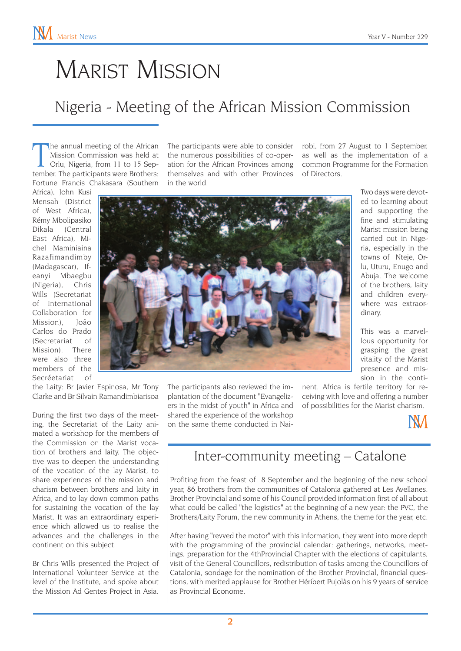## Marist Mission

#### Nigeria - Meeting of the African Mission Commission

The annual meeting of the African<br>Mission Commission was held at<br>Orlu, Nigeria, from 11 to 15 Sep-<br>tember. The participants were Brothers: he annual meeting of the African Mission Commission was held at Orlu, Nigeria, from 11 to 15 Sep-Fortune Francis Chakasara (Southern

Africa), John Kusi Mensah (District of West Africa), Rémy Mbolipasiko Dikala (Central East Africa), Michel Maminiaina Razafimandimby (Madagascar), Ifeanyi Mbaegbu (Nigeria), Chris Wills (Secretariat of International Collaboration for Mission), João Carlos do Prado (Secretariat of Mission). There were also three members of the Secréetariat of

the Laity: Br Javier Espinosa, Mr Tony Clarke and Br Silvain Ramandimbiarisoa

During the first two days of the meeting, the Secretariat of the Laity animated a workshop for the members of the Commission on the Marist vocation of brothers and laity. The objective was to deepen the understanding of the vocation of the lay Marist, to share experiences of the mission and charism between brothers and laity in Africa, and to lay down common paths for sustaining the vocation of the lay Marist. It was an extraordinary experience which allowed us to realise the advances and the challenges in the continent on this subject.

Br Chris Wills presented the Project of International Volunteer Service at the level of the Institute, and spoke about the Mission Ad Gentes Project in Asia.

The participants were able to consider the numerous possibilities of co-operation for the African Provinces among themselves and with other Provinces in the world.

robi, from 27 August to 1 September, as well as the implementation of a common Programme for the Formation of Directors.

> Two days were devoted to learning about and supporting the fine and stimulating Marist mission being carried out in Nigeria, especially in the towns of Nteje, Orlu, Uturu, Enugo and Abuja. The welcome of the brothers, laity and children everywhere was extraor-



The participants also reviewed the implantation of the document "Evangelizers in the midst of youth" in Africa and shared the experience of the workshop on the same theme conducted in Nainent. Africa is fertile territory for receiving with love and offering a number of possibilities for the Marist charism.

dinary.



#### Inter-community meeting – Catalone

Profiting from the feast of 8 September and the beginning of the new school year, 86 brothers from the communities of Catalonia gathered at Les Avellanes. Brother Provincial and some of his Council provided information first of all about what could be called "the logistics" at the beginning of a new year: the PVC, the Brothers/Laity Forum, the new community in Athens, the theme for the year, etc.

After having "revved the motor" with this information, they went into more depth with the programming of the provincial calendar: gatherings, networks, meetings, preparation for the 4thProvincial Chapter with the elections of capitulants, visit of the General Councillors, redistribution of tasks among the Councillors of Catalonia, sondage for the nomination of the Brother Provincial, financial questions, with merited applause for Brother Héribert Pujolàs on his 9 years of service as Provincial Econome.

This was a marvellous opportunity for grasping the great vitality of the Marist presence and mission in the conti-

**2**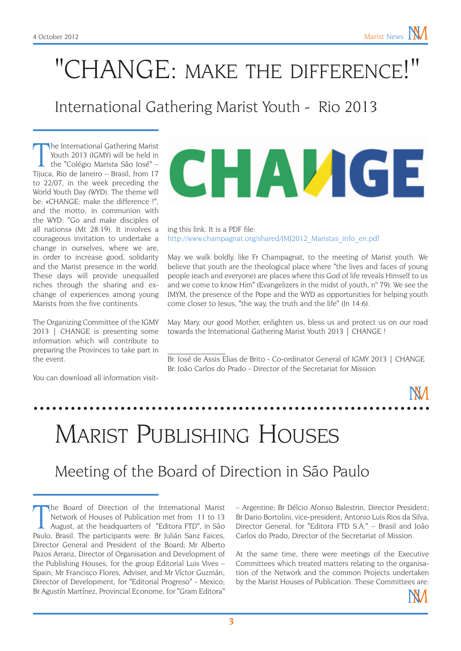## "CHANGE: make the difference!"

#### International Gathering Marist Youth - Rio 2013

The International Gathering Marist<br>
Youth 2013 (IGMY) will be held in<br>
the "Colégio Marista São José" –<br>
Tijuca, Rio de Janeiro – Brasil, from 17 he International Gathering Marist Youth 2013 (IGMY) will be held in the "Colégio Marista São José" – to 22/07, in the week preceding the World Youth Day (WYD). The theme will be: «CHANGE: make the difference !", and the motto, in communion with the WYD: "Go and make disciples of all nations» (Mt 28:19). It involves a courageous invitation to undertake a change in ourselves, where we are, in order to increase good, solidarity and the Marist presence in the world. These days will provide unequalled riches through the sharing and exchange of experiences among young Marists from the five continents.

The Organizing Committee of the IGMY 2013 | CHANGE is presenting some information which will contribute to preparing the Provinces to take part in the event.

You can download all information visit-

# CHAVGE

#### ing this link. It is a PDF file: [http://www.champagnat.org/shared/JMJ2012\\_Maristas\\_info\\_en.pdf](http://www.champagnat.org/shared/JMJ2012_Maristas_info_en.pdf)

May we walk boldly, like Fr Champagnat, to the meeting of Marist youth. We believe that youth are the theological place where "the lives and faces of young people (each and everyone) are places where this God of life reveals Himself to us and we come to know Him" (Evangelizers in the midst of youth, n° 79). We see the IMYM, the presence of the Pope and the WYD as opportunities for helping youth come closer to Jesus, "the way, the truth and the life" (Jn 14:6).

May Mary, our good Mother, enlighten us, bless us and protect us on our road towards the International Gathering Marist Youth 2013 | CHANGE !

Br. José de Assis Elias de Brito - Co-ordinator General of IGMY 2013 | CHANGE Br. João Carlos do Prado - Director of the Secretariat for Mission

## Marist Publishing Houses

 $\mathcal{L}_\text{max}$ 

#### Meeting of the Board of Direction in São Paulo

The Board of Direction of the International Marist<br>Network of Houses of Publication met from 11 to 13<br>August, at the headquarters of "Editora FTD", in São<br>Paulo, Brasil. The participants were: Br Julián Sanz Faices, he Board of Direction of the International Marist Network of Houses of Publication met from 11 to 13 August, at the headquarters of "Editora FTD", in São Director General and President of the Board; Mr Alberto Pazos Arranz, Director of Organisation and Development of the Publishing Houses, for the group Editorial Luis Vives – Spain; Mr Francisco Flores, Adviser, and Mr Víctor Guzmán, Director of Development, for "Editorial Progreso" - Mexico; Br Agustín Martínez, Provincial Econome, for "Gram Editora"

– Argentine; Br Délcio Afonso Balestrin, Director President; Br Dario Bortolini, vice-president; Antonio Luis Rios da Silva, Director General, for "Editora FTD S.A." – Brasil and João Carlos do Prado, Director of the Secretariat of Mission.

At the same time, there were meetings of the Executive Committees which treated matters relating to the organisation of the Network and the common Projects undertaken by the Marist Houses of Publication. These Committees are: